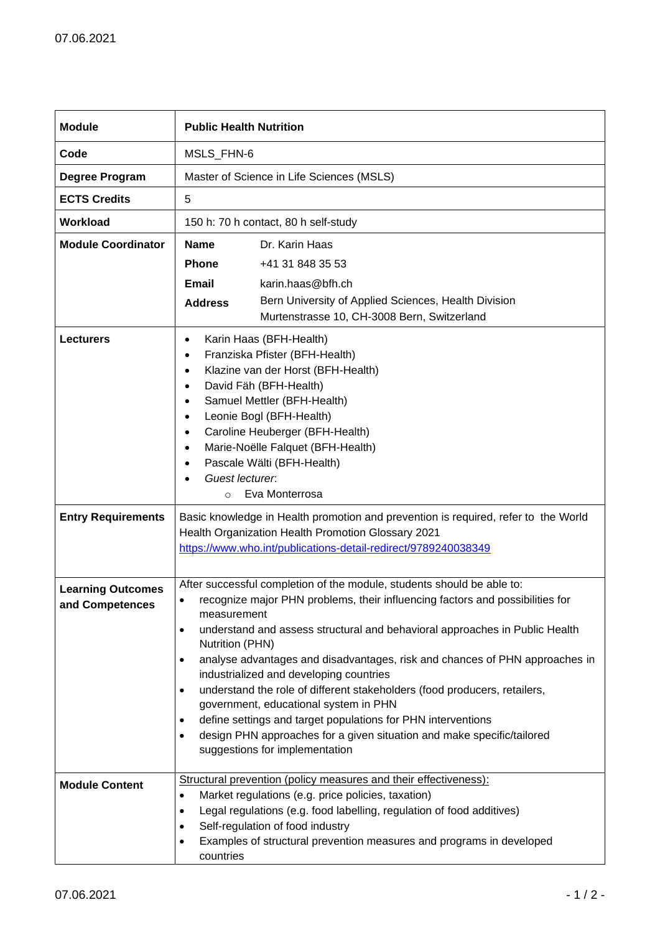| <b>Module</b>                               | <b>Public Health Nutrition</b>                                                                                                                                                                                                                                                                                                                                                                                                                                                                                                                                                                                                                                                                                                        |                                                                                                                                                                                                                                                                                                             |
|---------------------------------------------|---------------------------------------------------------------------------------------------------------------------------------------------------------------------------------------------------------------------------------------------------------------------------------------------------------------------------------------------------------------------------------------------------------------------------------------------------------------------------------------------------------------------------------------------------------------------------------------------------------------------------------------------------------------------------------------------------------------------------------------|-------------------------------------------------------------------------------------------------------------------------------------------------------------------------------------------------------------------------------------------------------------------------------------------------------------|
| Code                                        | MSLS_FHN-6                                                                                                                                                                                                                                                                                                                                                                                                                                                                                                                                                                                                                                                                                                                            |                                                                                                                                                                                                                                                                                                             |
| Degree Program                              | Master of Science in Life Sciences (MSLS)                                                                                                                                                                                                                                                                                                                                                                                                                                                                                                                                                                                                                                                                                             |                                                                                                                                                                                                                                                                                                             |
| <b>ECTS Credits</b>                         | 5                                                                                                                                                                                                                                                                                                                                                                                                                                                                                                                                                                                                                                                                                                                                     |                                                                                                                                                                                                                                                                                                             |
| <b>Workload</b>                             | 150 h: 70 h contact, 80 h self-study                                                                                                                                                                                                                                                                                                                                                                                                                                                                                                                                                                                                                                                                                                  |                                                                                                                                                                                                                                                                                                             |
| <b>Module Coordinator</b>                   | <b>Name</b>                                                                                                                                                                                                                                                                                                                                                                                                                                                                                                                                                                                                                                                                                                                           | Dr. Karin Haas                                                                                                                                                                                                                                                                                              |
|                                             | <b>Phone</b>                                                                                                                                                                                                                                                                                                                                                                                                                                                                                                                                                                                                                                                                                                                          | +41 31 848 35 53                                                                                                                                                                                                                                                                                            |
|                                             | Email                                                                                                                                                                                                                                                                                                                                                                                                                                                                                                                                                                                                                                                                                                                                 | karin.haas@bfh.ch                                                                                                                                                                                                                                                                                           |
|                                             | <b>Address</b>                                                                                                                                                                                                                                                                                                                                                                                                                                                                                                                                                                                                                                                                                                                        | Bern University of Applied Sciences, Health Division                                                                                                                                                                                                                                                        |
|                                             |                                                                                                                                                                                                                                                                                                                                                                                                                                                                                                                                                                                                                                                                                                                                       | Murtenstrasse 10, CH-3008 Bern, Switzerland                                                                                                                                                                                                                                                                 |
| <b>Lecturers</b>                            | Karin Haas (BFH-Health)<br>$\bullet$<br>Franziska Pfister (BFH-Health)<br>$\bullet$<br>Klazine van der Horst (BFH-Health)<br>$\bullet$<br>David Fäh (BFH-Health)<br>$\bullet$<br>Samuel Mettler (BFH-Health)<br>$\bullet$<br>Leonie Bogl (BFH-Health)<br>$\bullet$<br>Caroline Heuberger (BFH-Health)<br>$\bullet$<br>Marie-Noëlle Falquet (BFH-Health)<br>$\bullet$<br>Pascale Wälti (BFH-Health)<br>$\bullet$<br>Guest lecturer.<br>Eva Monterrosa<br>$\circ$                                                                                                                                                                                                                                                                       |                                                                                                                                                                                                                                                                                                             |
| <b>Entry Requirements</b>                   | Basic knowledge in Health promotion and prevention is required, refer to the World<br>Health Organization Health Promotion Glossary 2021<br>https://www.who.int/publications-detail-redirect/9789240038349                                                                                                                                                                                                                                                                                                                                                                                                                                                                                                                            |                                                                                                                                                                                                                                                                                                             |
| <b>Learning Outcomes</b><br>and Competences | After successful completion of the module, students should be able to:<br>recognize major PHN problems, their influencing factors and possibilities for<br>measurement<br>understand and assess structural and behavioral approaches in Public Health<br>٠<br>Nutrition (PHN)<br>analyse advantages and disadvantages, risk and chances of PHN approaches in<br>٠<br>industrialized and developing countries<br>understand the role of different stakeholders (food producers, retailers,<br>$\bullet$<br>government, educational system in PHN<br>define settings and target populations for PHN interventions<br>٠<br>design PHN approaches for a given situation and make specific/tailored<br>٠<br>suggestions for implementation |                                                                                                                                                                                                                                                                                                             |
| <b>Module Content</b>                       | ٠<br>$\bullet$<br>$\bullet$<br>٠<br>countries                                                                                                                                                                                                                                                                                                                                                                                                                                                                                                                                                                                                                                                                                         | Structural prevention (policy measures and their effectiveness):<br>Market regulations (e.g. price policies, taxation)<br>Legal regulations (e.g. food labelling, regulation of food additives)<br>Self-regulation of food industry<br>Examples of structural prevention measures and programs in developed |